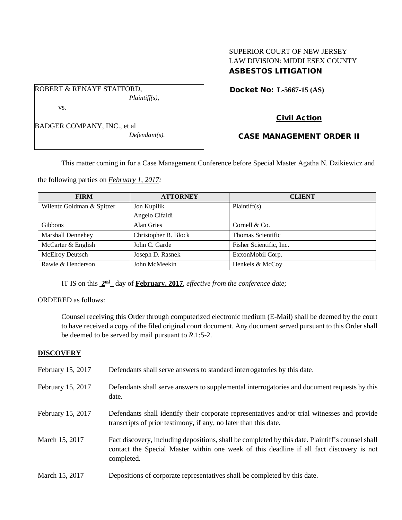## SUPERIOR COURT OF NEW JERSEY LAW DIVISION: MIDDLESEX COUNTY ASBESTOS LITIGATION

Docket No: **L-5667-15 (AS)** 

BADGER COMPANY, INC., et al

ROBERT & RENAYE STAFFORD,

vs.

*Defendant(s).*

*Plaintiff(s),*

# Civil Action

### CASE MANAGEMENT ORDER II

This matter coming in for a Case Management Conference before Special Master Agatha N. Dzikiewicz and

the following parties on *February 1, 2017:*

| <b>FIRM</b>               | <b>ATTORNEY</b>      | <b>CLIENT</b>           |
|---------------------------|----------------------|-------------------------|
| Wilentz Goldman & Spitzer | Jon Kupilik          | Plaintiff(s)            |
|                           | Angelo Cifaldi       |                         |
| <b>Gibbons</b>            | Alan Gries           | Cornell & Co.           |
| <b>Marshall Dennehey</b>  | Christopher B. Block | Thomas Scientific       |
| McCarter & English        | John C. Garde        | Fisher Scientific, Inc. |
| <b>McElroy Deutsch</b>    | Joseph D. Rasnek     | ExxonMobil Corp.        |
| Rawle & Henderson         | John McMeekin        | Henkels & McCoy         |

IT IS on this **2nd** day of **February, 2017**, *effective from the conference date;*

### ORDERED as follows:

Counsel receiving this Order through computerized electronic medium (E-Mail) shall be deemed by the court to have received a copy of the filed original court document. Any document served pursuant to this Order shall be deemed to be served by mail pursuant to *R*.1:5-2.

#### **DISCOVERY**

| February 15, 2017 | Defendants shall serve answers to standard interrogatories by this date.                                                                                                                                    |
|-------------------|-------------------------------------------------------------------------------------------------------------------------------------------------------------------------------------------------------------|
| February 15, 2017 | Defendants shall serve answers to supplemental interrogatories and document requests by this<br>date.                                                                                                       |
| February 15, 2017 | Defendants shall identify their corporate representatives and/or trial witnesses and provide<br>transcripts of prior testimony, if any, no later than this date.                                            |
| March 15, 2017    | Fact discovery, including depositions, shall be completed by this date. Plaintiff's counsel shall<br>contact the Special Master within one week of this deadline if all fact discovery is not<br>completed. |
| March 15, 2017    | Depositions of corporate representatives shall be completed by this date.                                                                                                                                   |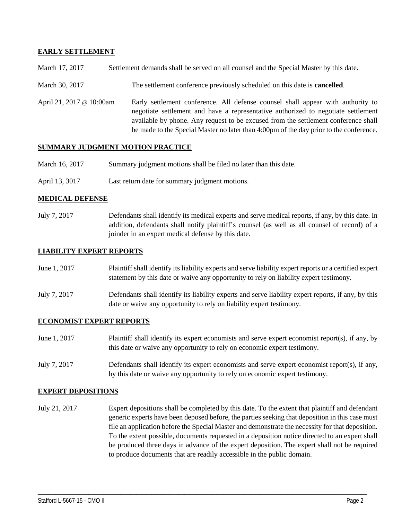### **EARLY SETTLEMENT**

- March 30, 2017 The settlement conference previously scheduled on this date is **cancelled**.
- April 21, 2017 @ 10:00am Early settlement conference. All defense counsel shall appear with authority to negotiate settlement and have a representative authorized to negotiate settlement available by phone. Any request to be excused from the settlement conference shall be made to the Special Master no later than 4:00pm of the day prior to the conference.

#### **SUMMARY JUDGMENT MOTION PRACTICE**

- March 16, 2017 Summary judgment motions shall be filed no later than this date.
- April 13, 3017 Last return date for summary judgment motions.

#### **MEDICAL DEFENSE**

July 7, 2017 Defendants shall identify its medical experts and serve medical reports, if any, by this date. In addition, defendants shall notify plaintiff's counsel (as well as all counsel of record) of a joinder in an expert medical defense by this date.

#### **LIABILITY EXPERT REPORTS**

- June 1, 2017 Plaintiff shall identify its liability experts and serve liability expert reports or a certified expert statement by this date or waive any opportunity to rely on liability expert testimony.
- July 7, 2017 Defendants shall identify its liability experts and serve liability expert reports, if any, by this date or waive any opportunity to rely on liability expert testimony.

#### **ECONOMIST EXPERT REPORTS**

- June 1, 2017 Plaintiff shall identify its expert economists and serve expert economist report(s), if any, by this date or waive any opportunity to rely on economic expert testimony.
- July 7, 2017 Defendants shall identify its expert economists and serve expert economist report(s), if any, by this date or waive any opportunity to rely on economic expert testimony.

#### **EXPERT DEPOSITIONS**

July 21, 2017 Expert depositions shall be completed by this date. To the extent that plaintiff and defendant generic experts have been deposed before, the parties seeking that deposition in this case must file an application before the Special Master and demonstrate the necessity for that deposition. To the extent possible, documents requested in a deposition notice directed to an expert shall be produced three days in advance of the expert deposition. The expert shall not be required to produce documents that are readily accessible in the public domain.

\_\_\_\_\_\_\_\_\_\_\_\_\_\_\_\_\_\_\_\_\_\_\_\_\_\_\_\_\_\_\_\_\_\_\_\_\_\_\_\_\_\_\_\_\_\_\_\_\_\_\_\_\_\_\_\_\_\_\_\_\_\_\_\_\_\_\_\_\_\_\_\_\_\_\_\_\_\_\_\_\_\_\_\_\_\_\_\_\_\_\_\_\_\_\_\_\_\_\_\_\_\_\_\_\_\_\_\_\_\_